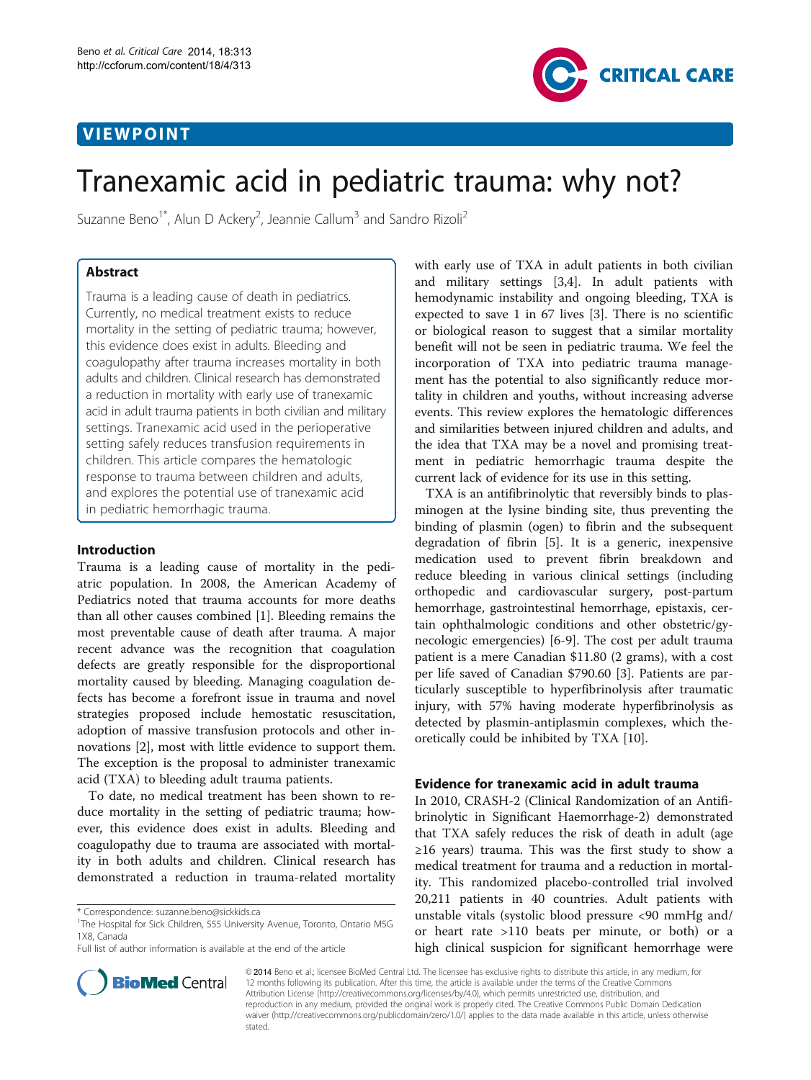## VIEWPOINT



# Tranexamic acid in pediatric trauma: why not?

Suzanne Beno<sup>1\*</sup>, Alun D Ackery<sup>2</sup>, Jeannie Callum<sup>3</sup> and Sandro Rizoli<sup>2</sup>

## Abstract

Trauma is a leading cause of death in pediatrics. Currently, no medical treatment exists to reduce mortality in the setting of pediatric trauma; however, this evidence does exist in adults. Bleeding and coagulopathy after trauma increases mortality in both adults and children. Clinical research has demonstrated a reduction in mortality with early use of tranexamic acid in adult trauma patients in both civilian and military settings. Tranexamic acid used in the perioperative setting safely reduces transfusion requirements in children. This article compares the hematologic response to trauma between children and adults, and explores the potential use of tranexamic acid in pediatric hemorrhagic trauma.

### Introduction

Trauma is a leading cause of mortality in the pediatric population. In 2008, the American Academy of Pediatrics noted that trauma accounts for more deaths than all other causes combined [[1\]](#page-3-0). Bleeding remains the most preventable cause of death after trauma. A major recent advance was the recognition that coagulation defects are greatly responsible for the disproportional mortality caused by bleeding. Managing coagulation defects has become a forefront issue in trauma and novel strategies proposed include hemostatic resuscitation, adoption of massive transfusion protocols and other innovations [[2](#page-3-0)], most with little evidence to support them. The exception is the proposal to administer tranexamic acid (TXA) to bleeding adult trauma patients.

To date, no medical treatment has been shown to reduce mortality in the setting of pediatric trauma; however, this evidence does exist in adults. Bleeding and coagulopathy due to trauma are associated with mortality in both adults and children. Clinical research has demonstrated a reduction in trauma-related mortality



TXA is an antifibrinolytic that reversibly binds to plasminogen at the lysine binding site, thus preventing the binding of plasmin (ogen) to fibrin and the subsequent degradation of fibrin [\[5](#page-4-0)]. It is a generic, inexpensive medication used to prevent fibrin breakdown and reduce bleeding in various clinical settings (including orthopedic and cardiovascular surgery, post-partum hemorrhage, gastrointestinal hemorrhage, epistaxis, certain ophthalmologic conditions and other obstetric/gynecologic emergencies) [[6-9](#page-4-0)]. The cost per adult trauma patient is a mere Canadian \$11.80 (2 grams), with a cost per life saved of Canadian \$790.60 [[3\]](#page-3-0). Patients are particularly susceptible to hyperfibrinolysis after traumatic injury, with 57% having moderate hyperfibrinolysis as detected by plasmin-antiplasmin complexes, which theoretically could be inhibited by TXA [[10\]](#page-4-0).

#### Evidence for tranexamic acid in adult trauma

In 2010, CRASH-2 (Clinical Randomization of an Antifibrinolytic in Significant Haemorrhage-2) demonstrated that TXA safely reduces the risk of death in adult (age ≥16 years) trauma. This was the first study to show a medical treatment for trauma and a reduction in mortality. This randomized placebo-controlled trial involved 20,211 patients in 40 countries. Adult patients with unstable vitals (systolic blood pressure <90 mmHg and/ or heart rate >110 beats per minute, or both) or a high clinical suspicion for significant hemorrhage were



© 2014 Beno et al.; licensee BioMed Central Ltd. The licensee has exclusive rights to distribute this article, in any medium, for 12 months following its publication. After this time, the article is available under the terms of the Creative Commons Attribution License (<http://creativecommons.org/licenses/by/4.0>), which permits unrestricted use, distribution, and reproduction in any medium, provided the original work is properly cited. The Creative Commons Public Domain Dedication waiver [\(http://creativecommons.org/publicdomain/zero/1.0/\)](http://creativecommons.org/publicdomain/zero/1.0/) applies to the data made available in this article, unless otherwise stated

<sup>\*</sup> Correspondence: [suzanne.beno@sickkids.ca](mailto:suzanne.beno@sickkids.ca) <sup>1</sup>

<sup>&</sup>lt;sup>1</sup>The Hospital for Sick Children, 555 University Avenue, Toronto, Ontario M5G 1X8, Canada

Full list of author information is available at the end of the article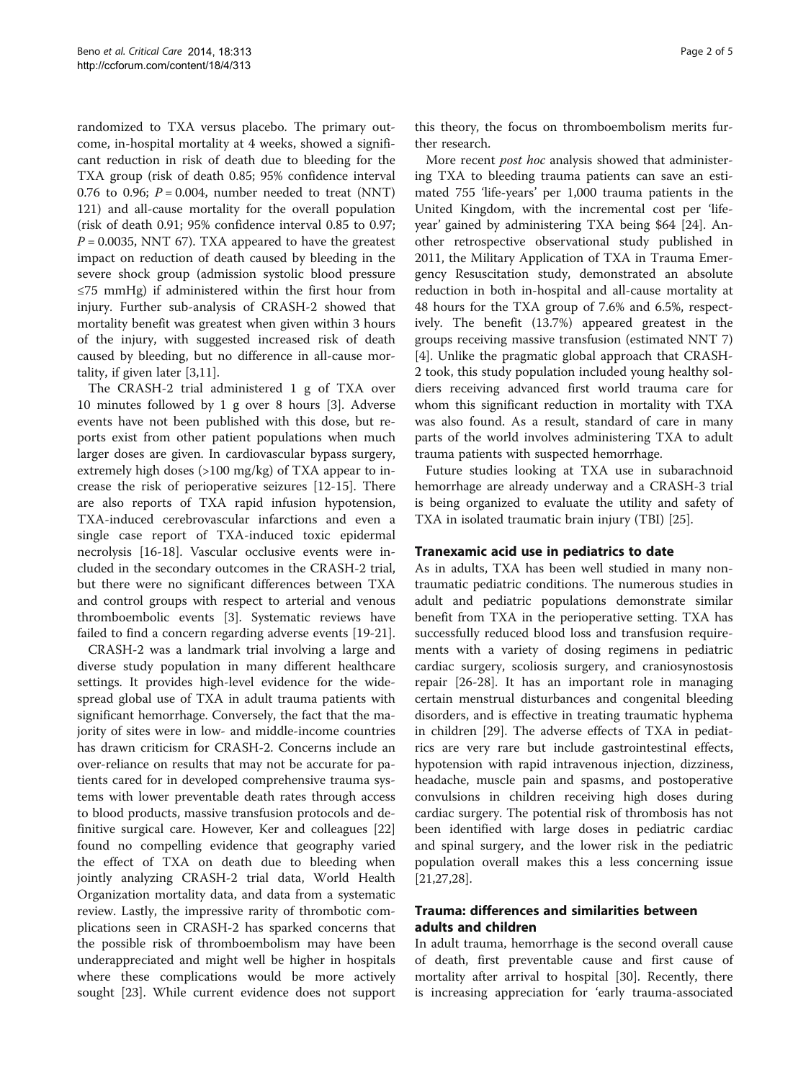randomized to TXA versus placebo. The primary outcome, in-hospital mortality at 4 weeks, showed a significant reduction in risk of death due to bleeding for the TXA group (risk of death 0.85; 95% confidence interval 0.76 to 0.96;  $P = 0.004$ , number needed to treat (NNT) 121) and all-cause mortality for the overall population (risk of death 0.91; 95% confidence interval 0.85 to 0.97;  $P = 0.0035$ , NNT 67). TXA appeared to have the greatest impact on reduction of death caused by bleeding in the severe shock group (admission systolic blood pressure ≤75 mmHg) if administered within the first hour from injury. Further sub-analysis of CRASH-2 showed that mortality benefit was greatest when given within 3 hours of the injury, with suggested increased risk of death caused by bleeding, but no difference in all-cause mortality, if given later [\[3](#page-3-0)[,11](#page-4-0)].

The CRASH-2 trial administered 1 g of TXA over 10 minutes followed by 1 g over 8 hours [[3\]](#page-3-0). Adverse events have not been published with this dose, but reports exist from other patient populations when much larger doses are given. In cardiovascular bypass surgery, extremely high doses (>100 mg/kg) of TXA appear to increase the risk of perioperative seizures [\[12](#page-4-0)-[15](#page-4-0)]. There are also reports of TXA rapid infusion hypotension, TXA-induced cerebrovascular infarctions and even a single case report of TXA-induced toxic epidermal necrolysis [[16](#page-4-0)-[18\]](#page-4-0). Vascular occlusive events were included in the secondary outcomes in the CRASH-2 trial, but there were no significant differences between TXA and control groups with respect to arterial and venous thromboembolic events [\[3](#page-3-0)]. Systematic reviews have failed to find a concern regarding adverse events [[19-21](#page-4-0)].

CRASH-2 was a landmark trial involving a large and diverse study population in many different healthcare settings. It provides high-level evidence for the widespread global use of TXA in adult trauma patients with significant hemorrhage. Conversely, the fact that the majority of sites were in low- and middle-income countries has drawn criticism for CRASH-2. Concerns include an over-reliance on results that may not be accurate for patients cared for in developed comprehensive trauma systems with lower preventable death rates through access to blood products, massive transfusion protocols and definitive surgical care. However, Ker and colleagues [[22](#page-4-0)] found no compelling evidence that geography varied the effect of TXA on death due to bleeding when jointly analyzing CRASH-2 trial data, World Health Organization mortality data, and data from a systematic review. Lastly, the impressive rarity of thrombotic complications seen in CRASH-2 has sparked concerns that the possible risk of thromboembolism may have been underappreciated and might well be higher in hospitals where these complications would be more actively sought [\[23\]](#page-4-0). While current evidence does not support

this theory, the focus on thromboembolism merits further research.

More recent *post hoc* analysis showed that administering TXA to bleeding trauma patients can save an estimated 755 'life-years' per 1,000 trauma patients in the United Kingdom, with the incremental cost per 'lifeyear' gained by administering TXA being \$64 [\[24](#page-4-0)]. Another retrospective observational study published in 2011, the Military Application of TXA in Trauma Emergency Resuscitation study, demonstrated an absolute reduction in both in-hospital and all-cause mortality at 48 hours for the TXA group of 7.6% and 6.5%, respectively. The benefit (13.7%) appeared greatest in the groups receiving massive transfusion (estimated NNT 7) [[4\]](#page-3-0). Unlike the pragmatic global approach that CRASH-2 took, this study population included young healthy soldiers receiving advanced first world trauma care for whom this significant reduction in mortality with TXA was also found. As a result, standard of care in many parts of the world involves administering TXA to adult trauma patients with suspected hemorrhage.

Future studies looking at TXA use in subarachnoid hemorrhage are already underway and a CRASH-3 trial is being organized to evaluate the utility and safety of TXA in isolated traumatic brain injury (TBI) [\[25](#page-4-0)].

#### Tranexamic acid use in pediatrics to date

As in adults, TXA has been well studied in many nontraumatic pediatric conditions. The numerous studies in adult and pediatric populations demonstrate similar benefit from TXA in the perioperative setting. TXA has successfully reduced blood loss and transfusion requirements with a variety of dosing regimens in pediatric cardiac surgery, scoliosis surgery, and craniosynostosis repair [\[26](#page-4-0)-[28\]](#page-4-0). It has an important role in managing certain menstrual disturbances and congenital bleeding disorders, and is effective in treating traumatic hyphema in children [[29](#page-4-0)]. The adverse effects of TXA in pediatrics are very rare but include gastrointestinal effects, hypotension with rapid intravenous injection, dizziness, headache, muscle pain and spasms, and postoperative convulsions in children receiving high doses during cardiac surgery. The potential risk of thrombosis has not been identified with large doses in pediatric cardiac and spinal surgery, and the lower risk in the pediatric population overall makes this a less concerning issue [[21,27,28\]](#page-4-0).

## Trauma: differences and similarities between adults and children

In adult trauma, hemorrhage is the second overall cause of death, first preventable cause and first cause of mortality after arrival to hospital [\[30](#page-4-0)]. Recently, there is increasing appreciation for 'early trauma-associated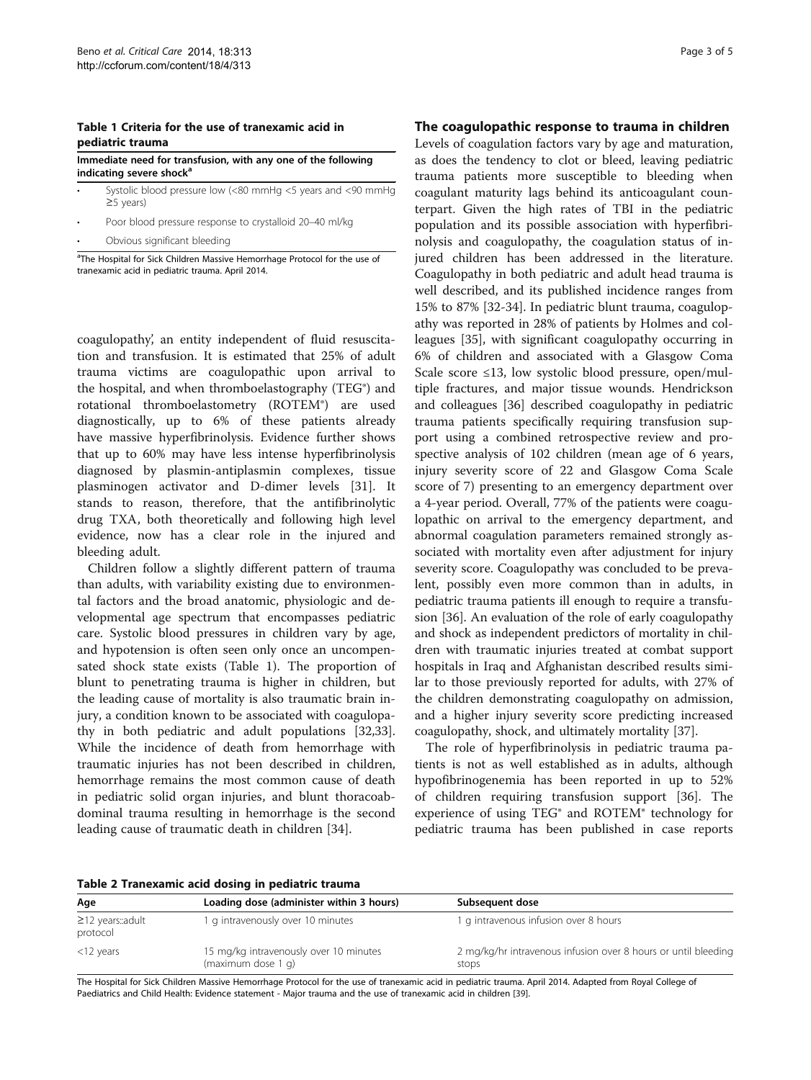#### <span id="page-2-0"></span>Table 1 Criteria for the use of tranexamic acid in pediatric trauma

Immediate need for transfusion, with any one of the following indicating severe shock<sup>a</sup>

• Systolic blood pressure low (<80 mmHg <5 years and <90 mmHg ≥5 years)

• Poor blood pressure response to crystalloid 20–40 ml/kg

Obvious significant bleeding

<sup>a</sup>The Hospital for Sick Children Massive Hemorrhage Protocol for the use of tranexamic acid in pediatric trauma. April 2014.

coagulopathy', an entity independent of fluid resuscitation and transfusion. It is estimated that 25% of adult trauma victims are coagulopathic upon arrival to the hospital, and when thromboelastography (TEG®) and rotational thromboelastometry (ROTEM®) are used diagnostically, up to 6% of these patients already have massive hyperfibrinolysis. Evidence further shows that up to 60% may have less intense hyperfibrinolysis diagnosed by plasmin-antiplasmin complexes, tissue plasminogen activator and D-dimer levels [[31\]](#page-4-0). It stands to reason, therefore, that the antifibrinolytic drug TXA, both theoretically and following high level evidence, now has a clear role in the injured and bleeding adult.

Children follow a slightly different pattern of trauma than adults, with variability existing due to environmental factors and the broad anatomic, physiologic and developmental age spectrum that encompasses pediatric care. Systolic blood pressures in children vary by age, and hypotension is often seen only once an uncompensated shock state exists (Table 1). The proportion of blunt to penetrating trauma is higher in children, but the leading cause of mortality is also traumatic brain injury, a condition known to be associated with coagulopathy in both pediatric and adult populations [\[32,33](#page-4-0)]. While the incidence of death from hemorrhage with traumatic injuries has not been described in children, hemorrhage remains the most common cause of death in pediatric solid organ injuries, and blunt thoracoabdominal trauma resulting in hemorrhage is the second leading cause of traumatic death in children [\[34](#page-4-0)].

## The coagulopathic response to trauma in children

Levels of coagulation factors vary by age and maturation, as does the tendency to clot or bleed, leaving pediatric trauma patients more susceptible to bleeding when coagulant maturity lags behind its anticoagulant counterpart. Given the high rates of TBI in the pediatric population and its possible association with hyperfibrinolysis and coagulopathy, the coagulation status of injured children has been addressed in the literature. Coagulopathy in both pediatric and adult head trauma is well described, and its published incidence ranges from 15% to 87% [\[32-34](#page-4-0)]. In pediatric blunt trauma, coagulopathy was reported in 28% of patients by Holmes and colleagues [[35](#page-4-0)], with significant coagulopathy occurring in 6% of children and associated with a Glasgow Coma Scale score  $\leq$ 13, low systolic blood pressure, open/multiple fractures, and major tissue wounds. Hendrickson and colleagues [[36\]](#page-4-0) described coagulopathy in pediatric trauma patients specifically requiring transfusion support using a combined retrospective review and prospective analysis of 102 children (mean age of 6 years, injury severity score of 22 and Glasgow Coma Scale score of 7) presenting to an emergency department over a 4-year period. Overall, 77% of the patients were coagulopathic on arrival to the emergency department, and abnormal coagulation parameters remained strongly associated with mortality even after adjustment for injury severity score. Coagulopathy was concluded to be prevalent, possibly even more common than in adults, in pediatric trauma patients ill enough to require a transfusion [[36](#page-4-0)]. An evaluation of the role of early coagulopathy and shock as independent predictors of mortality in children with traumatic injuries treated at combat support hospitals in Iraq and Afghanistan described results similar to those previously reported for adults, with 27% of the children demonstrating coagulopathy on admission, and a higher injury severity score predicting increased coagulopathy, shock, and ultimately mortality [[37\]](#page-4-0).

The role of hyperfibrinolysis in pediatric trauma patients is not as well established as in adults, although hypofibrinogenemia has been reported in up to 52% of children requiring transfusion support [\[36\]](#page-4-0). The experience of using TEG® and ROTEM® technology for pediatric trauma has been published in case reports

| Age                                | Loading dose (administer within 3 hours)                     | Subsequent dose                                                         |
|------------------------------------|--------------------------------------------------------------|-------------------------------------------------------------------------|
| $\geq$ 12 years::adult<br>protocol | I g intravenously over 10 minutes                            | 1 g intravenous infusion over 8 hours                                   |
| $<$ 12 years                       | 15 mg/kg intravenously over 10 minutes<br>(maximum dose 1 g) | 2 mg/kg/hr intravenous infusion over 8 hours or until bleeding<br>stops |

The Hospital for Sick Children Massive Hemorrhage Protocol for the use of tranexamic acid in pediatric trauma. April 2014. Adapted from Royal College of Paediatrics and Child Health: Evidence statement - Major trauma and the use of tranexamic acid in children [[39](#page-4-0)].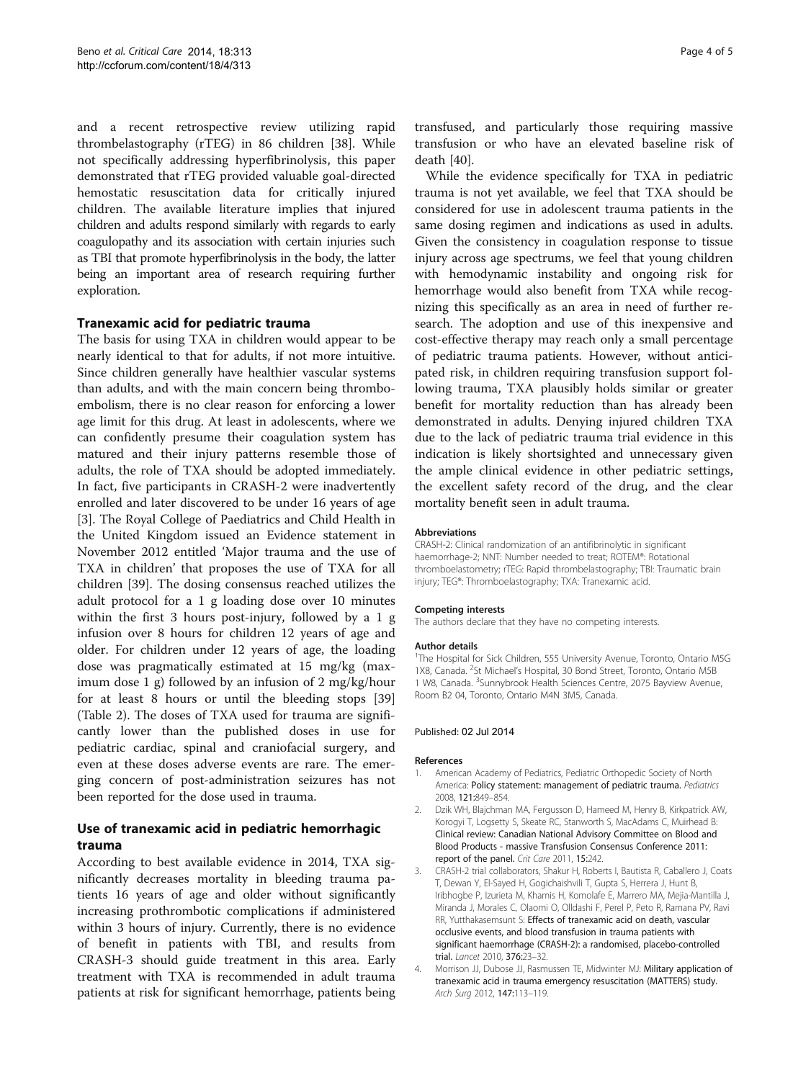<span id="page-3-0"></span>and a recent retrospective review utilizing rapid thrombelastography (rTEG) in 86 children [[38\]](#page-4-0). While not specifically addressing hyperfibrinolysis, this paper demonstrated that rTEG provided valuable goal-directed hemostatic resuscitation data for critically injured children. The available literature implies that injured children and adults respond similarly with regards to early coagulopathy and its association with certain injuries such as TBI that promote hyperfibrinolysis in the body, the latter being an important area of research requiring further exploration.

### Tranexamic acid for pediatric trauma

The basis for using TXA in children would appear to be nearly identical to that for adults, if not more intuitive. Since children generally have healthier vascular systems than adults, and with the main concern being thromboembolism, there is no clear reason for enforcing a lower age limit for this drug. At least in adolescents, where we can confidently presume their coagulation system has matured and their injury patterns resemble those of adults, the role of TXA should be adopted immediately. In fact, five participants in CRASH-2 were inadvertently enrolled and later discovered to be under 16 years of age [3]. The Royal College of Paediatrics and Child Health in the United Kingdom issued an Evidence statement in November 2012 entitled 'Major trauma and the use of TXA in children' that proposes the use of TXA for all children [[39\]](#page-4-0). The dosing consensus reached utilizes the adult protocol for a 1 g loading dose over 10 minutes within the first 3 hours post-injury, followed by a 1 g infusion over 8 hours for children 12 years of age and older. For children under 12 years of age, the loading dose was pragmatically estimated at 15 mg/kg (maximum dose 1 g) followed by an infusion of 2 mg/kg/hour for at least 8 hours or until the bleeding stops [[39](#page-4-0)] (Table [2](#page-2-0)). The doses of TXA used for trauma are significantly lower than the published doses in use for pediatric cardiac, spinal and craniofacial surgery, and even at these doses adverse events are rare. The emerging concern of post-administration seizures has not been reported for the dose used in trauma.

## Use of tranexamic acid in pediatric hemorrhagic trauma

According to best available evidence in 2014, TXA significantly decreases mortality in bleeding trauma patients 16 years of age and older without significantly increasing prothrombotic complications if administered within 3 hours of injury. Currently, there is no evidence of benefit in patients with TBI, and results from CRASH-3 should guide treatment in this area. Early treatment with TXA is recommended in adult trauma patients at risk for significant hemorrhage, patients being transfused, and particularly those requiring massive transfusion or who have an elevated baseline risk of death [\[40](#page-4-0)].

While the evidence specifically for TXA in pediatric trauma is not yet available, we feel that TXA should be considered for use in adolescent trauma patients in the same dosing regimen and indications as used in adults. Given the consistency in coagulation response to tissue injury across age spectrums, we feel that young children with hemodynamic instability and ongoing risk for hemorrhage would also benefit from TXA while recognizing this specifically as an area in need of further research. The adoption and use of this inexpensive and cost-effective therapy may reach only a small percentage of pediatric trauma patients. However, without anticipated risk, in children requiring transfusion support following trauma, TXA plausibly holds similar or greater benefit for mortality reduction than has already been demonstrated in adults. Denying injured children TXA due to the lack of pediatric trauma trial evidence in this indication is likely shortsighted and unnecessary given the ample clinical evidence in other pediatric settings, the excellent safety record of the drug, and the clear mortality benefit seen in adult trauma.

#### Abbreviations

CRASH-2: Clinical randomization of an antifibrinolytic in significant haemorrhage-2; NNT: Number needed to treat; ROTEM®: Rotational thromboelastometry; rTEG: Rapid thrombelastography; TBI: Traumatic brain injury; TEG®: Thromboelastography; TXA: Tranexamic acid.

#### Competing interests

The authors declare that they have no competing interests.

#### Author details

<sup>1</sup>The Hospital for Sick Children, 555 University Avenue, Toronto, Ontario M5G 1X8, Canada. <sup>2</sup>St Michael's Hospital, 30 Bond Street, Toronto, Ontario M5B 1 W8, Canada. <sup>3</sup>Sunnybrook Health Sciences Centre, 2075 Bayview Avenue, Room B2 04, Toronto, Ontario M4N 3M5, Canada.

#### Published: 02 Jul 2014

#### References

- 1. American Academy of Pediatrics, Pediatric Orthopedic Society of North America: Policy statement: management of pediatric trauma. Pediatrics 2008, 121:849–854.
- 2. Dzik WH, Blajchman MA, Fergusson D, Hameed M, Henry B, Kirkpatrick AW, Korogyi T, Logsetty S, Skeate RC, Stanworth S, MacAdams C, Muirhead B: Clinical review: Canadian National Advisory Committee on Blood and Blood Products - massive Transfusion Consensus Conference 2011: report of the panel. Crit Care 2011, 15:242.
- 3. CRASH-2 trial collaborators, Shakur H, Roberts I, Bautista R, Caballero J, Coats T, Dewan Y, El-Sayed H, Gogichaishvili T, Gupta S, Herrera J, Hunt B, Iribhogbe P, Izurieta M, Khamis H, Komolafe E, Marrero MA, Mejia-Mantilla J, Miranda J, Morales C, Olaomi O, Olldashi F, Perel P, Peto R, Ramana PV, Ravi RR, Yutthakasemsunt S: Effects of tranexamic acid on death, vascular occlusive events, and blood transfusion in trauma patients with significant haemorrhage (CRASH-2): a randomised, placebo-controlled trial. Lancet 2010, 376:23–32.
- 4. Morrison JJ, Dubose JJ, Rasmussen TE, Midwinter MJ: Military application of tranexamic acid in trauma emergency resuscitation (MATTERS) study. Arch Surg 2012, 147:113–119.